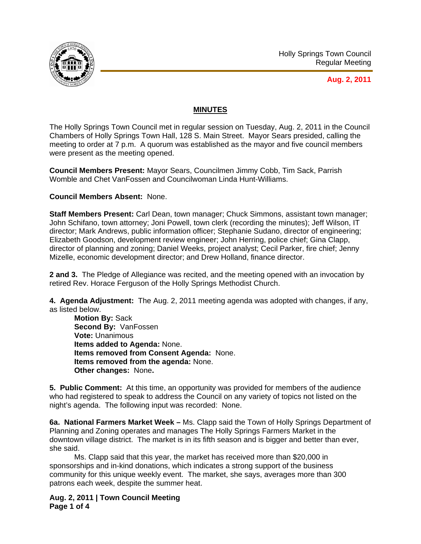

## **MINUTES**

The Holly Springs Town Council met in regular session on Tuesday, Aug. 2, 2011 in the Council Chambers of Holly Springs Town Hall, 128 S. Main Street. Mayor Sears presided, calling the meeting to order at 7 p.m. A quorum was established as the mayor and five council members were present as the meeting opened.

**Council Members Present:** Mayor Sears, Councilmen Jimmy Cobb, Tim Sack, Parrish Womble and Chet VanFossen and Councilwoman Linda Hunt-Williams.

## **Council Members Absent:** None.

**Staff Members Present:** Carl Dean, town manager; Chuck Simmons, assistant town manager; John Schifano, town attorney; Joni Powell, town clerk (recording the minutes); Jeff Wilson, IT director; Mark Andrews, public information officer; Stephanie Sudano, director of engineering; Elizabeth Goodson, development review engineer; John Herring, police chief; Gina Clapp, director of planning and zoning; Daniel Weeks, project analyst; Cecil Parker, fire chief; Jenny Mizelle, economic development director; and Drew Holland, finance director.

**2 and 3.** The Pledge of Allegiance was recited, and the meeting opened with an invocation by retired Rev. Horace Ferguson of the Holly Springs Methodist Church.

**4. Agenda Adjustment:** The Aug. 2, 2011 meeting agenda was adopted with changes, if any, as listed below.

**Motion By:** Sack **Second By:** VanFossen **Vote:** Unanimous **Items added to Agenda:** None. **Items removed from Consent Agenda:** None. **Items removed from the agenda:** None. **Other changes:** None**.** 

**5. Public Comment:** At this time, an opportunity was provided for members of the audience who had registered to speak to address the Council on any variety of topics not listed on the night's agenda. The following input was recorded: None.

**6a. National Farmers Market Week –** Ms. Clapp said the Town of Holly Springs Department of Planning and Zoning operates and manages The Holly Springs Farmers Market in the downtown village district. The market is in its fifth season and is bigger and better than ever, she said.

 Ms. Clapp said that this year, the market has received more than \$20,000 in sponsorships and in-kind donations, which indicates a strong support of the business community for this unique weekly event. The market, she says, averages more than 300 patrons each week, despite the summer heat.

**Aug. 2, 2011 | Town Council Meeting Page 1 of 4**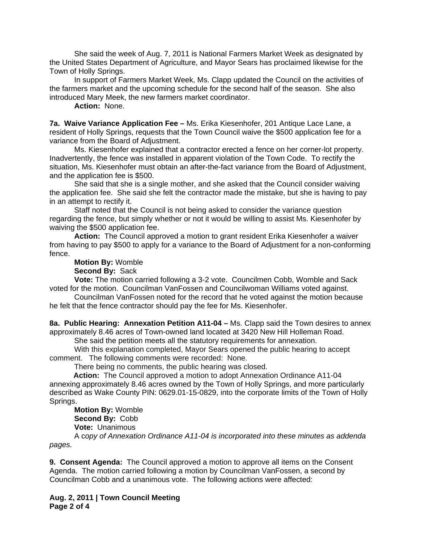She said the week of Aug. 7, 2011 is National Farmers Market Week as designated by the United States Department of Agriculture, and Mayor Sears has proclaimed likewise for the Town of Holly Springs.

 In support of Farmers Market Week, Ms. Clapp updated the Council on the activities of the farmers market and the upcoming schedule for the second half of the season. She also introduced Mary Meek, the new farmers market coordinator.

**Action:** None.

**7a. Waive Variance Application Fee –** Ms. Erika Kiesenhofer, 201 Antique Lace Lane, a resident of Holly Springs, requests that the Town Council waive the \$500 application fee for a variance from the Board of Adjustment.

 Ms. Kiesenhofer explained that a contractor erected a fence on her corner-lot property. Inadvertently, the fence was installed in apparent violation of the Town Code. To rectify the situation, Ms. Kiesenhofer must obtain an after-the-fact variance from the Board of Adjustment, and the application fee is \$500.

 She said that she is a single mother, and she asked that the Council consider waiving the application fee. She said she felt the contractor made the mistake, but she is having to pay in an attempt to rectify it.

 Staff noted that the Council is not being asked to consider the variance question regarding the fence, but simply whether or not it would be willing to assist Ms. Kiesenhofer by waiving the \$500 application fee.

**Action:** The Council approved a motion to grant resident Erika Kiesenhofer a waiver from having to pay \$500 to apply for a variance to the Board of Adjustment for a non-conforming fence.

**Motion By:** Womble

**Second By:** Sack

**Vote:** The motion carried following a 3-2 vote. Councilmen Cobb, Womble and Sack voted for the motion. Councilman VanFossen and Councilwoman Williams voted against.

Councilman VanFossen noted for the record that he voted against the motion because he felt that the fence contractor should pay the fee for Ms. Kiesenhofer.

**8a. Public Hearing: Annexation Petition A11-04 –** Ms. Clapp said the Town desires to annex approximately 8.46 acres of Town-owned land located at 3420 New Hill Holleman Road.

She said the petition meets all the statutory requirements for annexation.

With this explanation completed, Mayor Sears opened the public hearing to accept comment. The following comments were recorded: None.

There being no comments, the public hearing was closed.

 **Action:** The Council approved a motion to adopt Annexation Ordinance A11-04 annexing approximately 8.46 acres owned by the Town of Holly Springs, and more particularly described as Wake County PIN: 0629.01-15-0829, into the corporate limits of the Town of Holly Springs.

**Motion By:** Womble **Second By:** Cobb **Vote:** Unanimous

A c*opy of Annexation Ordinance A11-04 is incorporated into these minutes as addenda pages.*

**9. Consent Agenda:** The Council approved a motion to approve all items on the Consent Agenda. The motion carried following a motion by Councilman VanFossen, a second by Councilman Cobb and a unanimous vote. The following actions were affected:

**Aug. 2, 2011 | Town Council Meeting Page 2 of 4**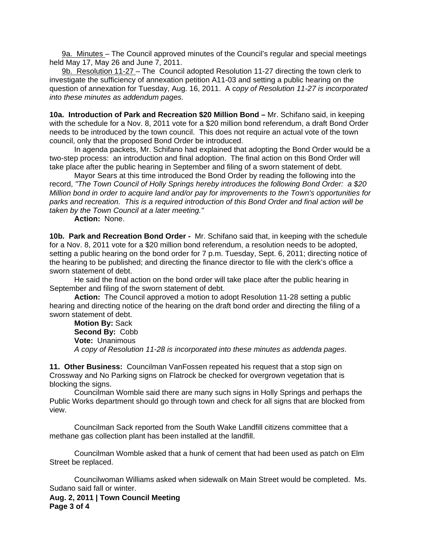9a. Minutes – The Council approved minutes of the Council's regular and special meetings held May 17, May 26 and June 7, 2011.

9b. Resolution 11-27 – The Council adopted Resolution 11-27 directing the town clerk to investigate the sufficiency of annexation petition A11-03 and setting a public hearing on the question of annexation for Tuesday, Aug. 16, 2011. A c*opy of Resolution 11-27 is incorporated into these minutes as addendum pages.*

**10a. Introduction of Park and Recreation \$20 Million Bond –** Mr. Schifano said, in keeping with the schedule for a Nov. 8, 2011 vote for a \$20 million bond referendum, a draft Bond Order needs to be introduced by the town council. This does not require an actual vote of the town council, only that the proposed Bond Order be introduced.

 In agenda packets, Mr. Schifano had explained that adopting the Bond Order would be a two-step process: an introduction and final adoption. The final action on this Bond Order will take place after the public hearing in September and filing of a sworn statement of debt.

Mayor Sears at this time introduced the Bond Order by reading the following into the record, *"The Town Council of Holly Springs hereby introduces the following Bond Order: a \$20 Million bond in order to acquire land and/or pay for improvements to the Town's opportunities for parks and recreation. This is a required introduction of this Bond Order and final action will be taken by the Town Council at a later meeting."* 

**Action:** None.

**10b. Park and Recreation Bond Order -** Mr. Schifano said that, in keeping with the schedule for a Nov. 8, 2011 vote for a \$20 million bond referendum, a resolution needs to be adopted, setting a public hearing on the bond order for 7 p.m. Tuesday, Sept. 6, 2011; directing notice of the hearing to be published; and directing the finance director to file with the clerk's office a sworn statement of debt.

 He said the final action on the bond order will take place after the public hearing in September and filing of the sworn statement of debt.

**Action:** The Council approved a motion to adopt Resolution 11-28 setting a public hearing and directing notice of the hearing on the draft bond order and directing the filing of a sworn statement of debt.

**Motion By:** Sack **Second By:** Cobb **Vote:** Unanimous *A copy of Resolution 11-28 is incorporated into these minutes as addenda pages*.

**11. Other Business:** Councilman VanFossen repeated his request that a stop sign on Crossway and No Parking signs on Flatrock be checked for overgrown vegetation that is blocking the signs.

 Councilman Womble said there are many such signs in Holly Springs and perhaps the Public Works department should go through town and check for all signs that are blocked from view.

 Councilman Sack reported from the South Wake Landfill citizens committee that a methane gas collection plant has been installed at the landfill.

 Councilman Womble asked that a hunk of cement that had been used as patch on Elm Street be replaced.

 Councilwoman Williams asked when sidewalk on Main Street would be completed. Ms. Sudano said fall or winter.

**Aug. 2, 2011 | Town Council Meeting Page 3 of 4**